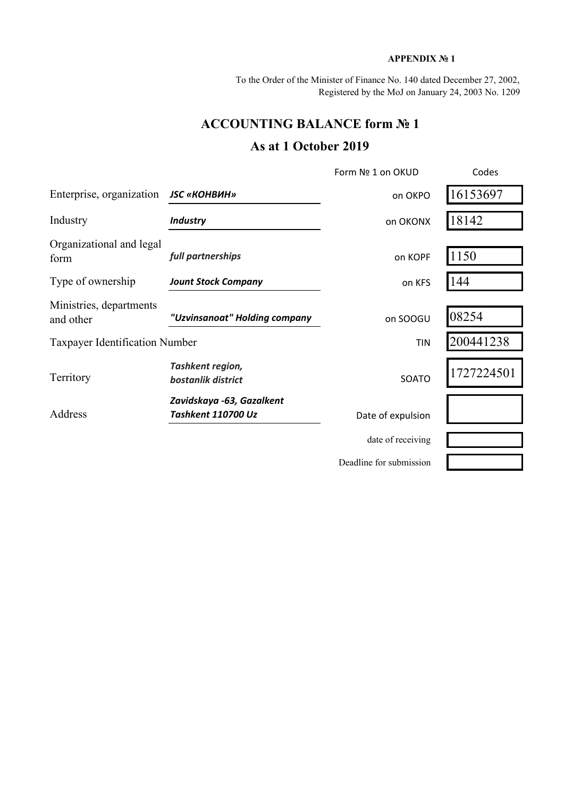#### **APPENDIX № 1**

To the Order of the Minister of Finance No. 140 dated December 27, 2002, Registered by the MoJ on January 24, 2003 No. 1209

# **ACCOUNTING BALANCE form № 1**

# **As at 1 October 2019**

|                                       |                                                        | Form Nº 1 on OKUD       | Codes      |
|---------------------------------------|--------------------------------------------------------|-------------------------|------------|
| Enterprise, organization              | <b>JSC «КОНВИН»</b>                                    | on OKPO                 | 16153697   |
| Industry                              | <b>Industry</b>                                        | on OKONX                | 18142      |
| Organizational and legal<br>form      | full partnerships                                      | on KOPF                 | 1150       |
| Type of ownership                     | <b>Jount Stock Company</b>                             | on KFS                  | 144        |
| Ministries, departments<br>and other  | "Uzvinsanoat" Holding company                          | on SOOGU                | 08254      |
| <b>Taxpayer Identification Number</b> |                                                        | <b>TIN</b>              | 200441238  |
| Territory                             | Tashkent region,<br>bostanlik district                 | SOATO                   | 1727224501 |
| Address                               | Zavidskaya -63, Gazalkent<br><b>Tashkent 110700 Uz</b> | Date of expulsion       |            |
|                                       |                                                        | date of receiving       |            |
|                                       |                                                        | Deadline for submission |            |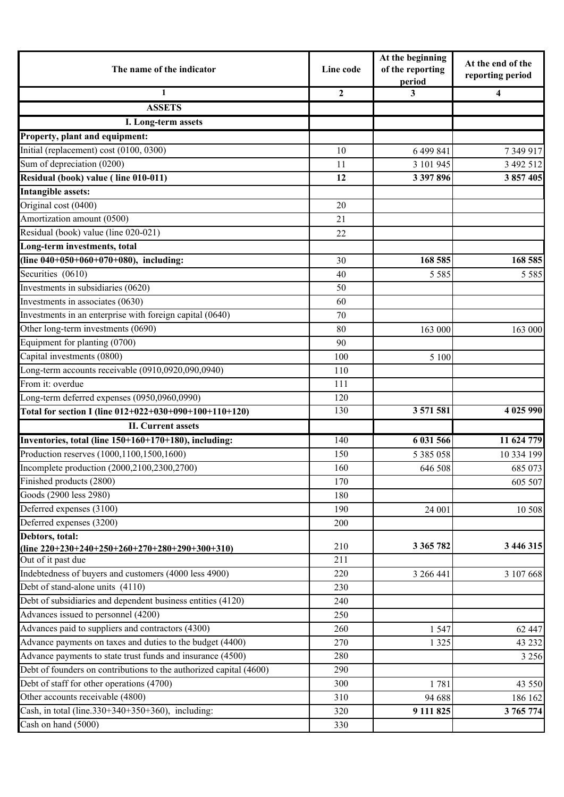| The name of the indicator                                          | Line code    | At the beginning<br>of the reporting<br>period | At the end of the<br>reporting period |
|--------------------------------------------------------------------|--------------|------------------------------------------------|---------------------------------------|
| 1                                                                  | $\mathbf{2}$ | 3                                              | 4                                     |
| <b>ASSETS</b>                                                      |              |                                                |                                       |
| I. Long-term assets                                                |              |                                                |                                       |
| Property, plant and equipment:                                     |              |                                                |                                       |
| Initial (replacement) cost (0100, 0300)                            | 10           | 6 499 841                                      | 7349917                               |
| Sum of depreciation (0200)                                         | 11           | 3 101 945                                      | 3 492 512                             |
| Residual (book) value (line 010-011)                               | 12           | 3 397 896                                      | 3 857 405                             |
| <b>Intangible assets:</b>                                          |              |                                                |                                       |
| Original cost (0400)                                               | 20           |                                                |                                       |
| Amortization amount (0500)                                         | 21           |                                                |                                       |
| Residual (book) value (line 020-021)                               | 22           |                                                |                                       |
| Long-term investments, total                                       |              |                                                |                                       |
| (line 040+050+060+070+080), including:                             | 30           | 168 585                                        | 168 585                               |
| Securities (0610)                                                  | 40           | 5 5 8 5                                        | 5 5 8 5                               |
| Investments in subsidiaries (0620)                                 | 50           |                                                |                                       |
| Investments in associates (0630)                                   | 60           |                                                |                                       |
| Investments in an enterprise with foreign capital (0640)           | 70           |                                                |                                       |
| Other long-term investments (0690)                                 | 80           | 163 000                                        | 163 000                               |
| Equipment for planting (0700)                                      | 90           |                                                |                                       |
| Capital investments (0800)                                         | 100          | 5 100                                          |                                       |
| Long-term accounts receivable (0910,0920,090,0940)                 | 110          |                                                |                                       |
| From it: overdue                                                   | 111          |                                                |                                       |
| Long-term deferred expenses (0950,0960,0990)                       | 120          |                                                |                                       |
| Total for section I (line 012+022+030+090+100+110+120)             | 130          | 3 571 581                                      | 4 025 990                             |
| <b>II.</b> Current assets                                          |              |                                                |                                       |
| Inventories, total (line 150+160+170+180), including:              | 140          | 6 031 566                                      | 11 624 779                            |
| Production reserves (1000,1100,1500,1600)                          | 150          | 5 385 058                                      | 10 334 199                            |
| Incomplete production (2000,2100,2300,2700)                        | 160          | 646 508                                        | 685 073                               |
| Finished products (2800)                                           | 170          |                                                | 605 507                               |
| Goods (2900 less 2980)                                             | 180          |                                                |                                       |
| Deferred expenses (3100)                                           | 190          | 24 001                                         | 10 508                                |
| Deferred expenses (3200)                                           | 200          |                                                |                                       |
| Debtors, total:                                                    |              |                                                |                                       |
| (line $220+230+240+250+260+270+280+290+300+310$ )                  | 210          | 3 365 782                                      | 3 446 315                             |
| Out of it past due                                                 | 211          |                                                |                                       |
| Indebtedness of buyers and customers (4000 less 4900)              | 220          | 3 266 441                                      | 3 107 668                             |
| Debt of stand-alone units (4110)                                   | 230          |                                                |                                       |
| Debt of subsidiaries and dependent business entities (4120)        | 240          |                                                |                                       |
| Advances issued to personnel $(4200)$                              | 250          |                                                |                                       |
| Advances paid to suppliers and contractors (4300)                  | 260          | 1 5 4 7                                        | 62 447                                |
| Advance payments on taxes and duties to the budget (4400)          | 270          | 1 3 2 5                                        | 43 232                                |
| Advance payments to state trust funds and insurance (4500)         | 280          |                                                | 3 2 5 6                               |
| Debt of founders on contributions to the authorized capital (4600) | 290          |                                                |                                       |
| Debt of staff for other operations (4700)                          | 300          | 1781                                           | 43 550                                |
| Other accounts receivable (4800)                                   | 310          | 94 688                                         | 186 162                               |
| Cash, in total (line.330+340+350+360), including:                  | 320          | 9 111 825                                      | 3 765 774                             |
| Cash on hand (5000)                                                | 330          |                                                |                                       |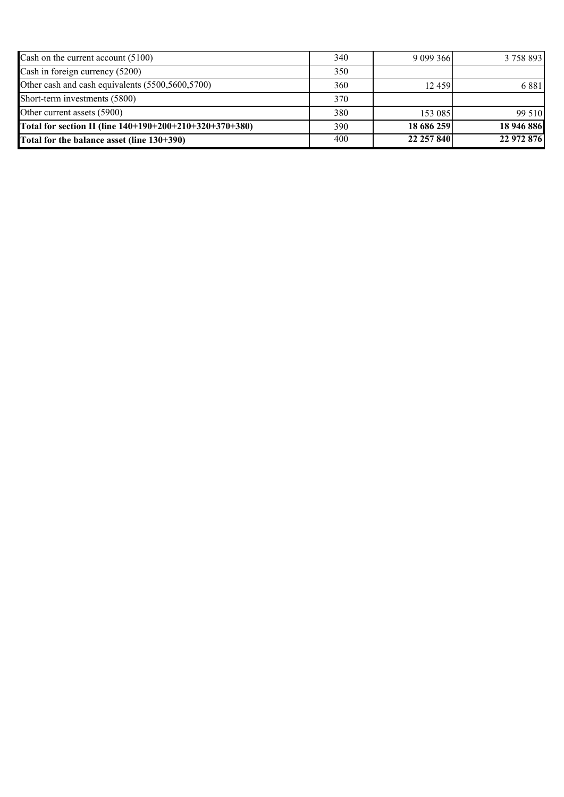| Cash on the current account $(5100)$                    | 340 | 9 099 366  | 3 758 893  |
|---------------------------------------------------------|-----|------------|------------|
| Cash in foreign currency (5200)                         | 350 |            |            |
| Other cash and cash equivalents (5500,5600,5700)        | 360 | 12459      | 6881       |
| Short-term investments (5800)                           | 370 |            |            |
| Other current assets (5900)                             | 380 | 153 085    | 99 510     |
| Total for section II (line 140+190+200+210+320+370+380) | 390 | 18 686 259 | 18 946 886 |
| Total for the balance asset (line 130+390)              | 400 | 22 257 840 | 22 972 876 |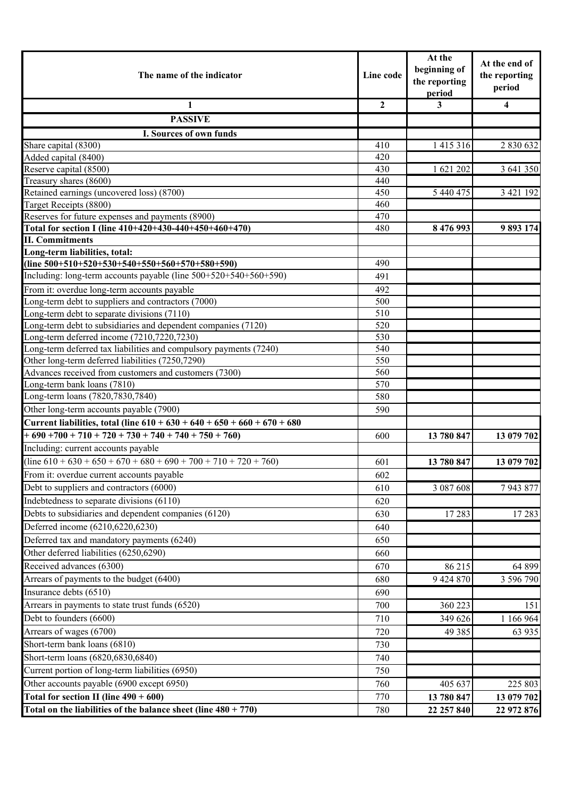| The name of the indicator                                                                                 | Line code      | At the<br>beginning of<br>the reporting<br>period | At the end of<br>the reporting<br>period |
|-----------------------------------------------------------------------------------------------------------|----------------|---------------------------------------------------|------------------------------------------|
| 1                                                                                                         | $\overline{2}$ | 3                                                 | $\overline{\mathbf{4}}$                  |
| <b>PASSIVE</b>                                                                                            |                |                                                   |                                          |
| I. Sources of own funds                                                                                   |                |                                                   |                                          |
| Share capital (8300)                                                                                      | 410            | 1 4 1 5 3 1 6                                     | 2 830 632                                |
| Added capital (8400)                                                                                      | 420            |                                                   |                                          |
| Reserve capital (8500)                                                                                    | 430            | 1 621 202                                         | 3 641 350                                |
| Treasury shares (8600)                                                                                    | 440            |                                                   |                                          |
| Retained earnings (uncovered loss) (8700)                                                                 | 450            | 5 440 475                                         | 3 421 192                                |
| Target Receipts (8800)                                                                                    | 460            |                                                   |                                          |
| Reserves for future expenses and payments (8900)                                                          | 470            |                                                   |                                          |
| Total for section I (line 410+420+430-440+450+460+470)                                                    | 480            | 8 476 993                                         | 9 893 174                                |
| <b>II. Commitments</b>                                                                                    |                |                                                   |                                          |
| Long-term liabilities, total:                                                                             |                |                                                   |                                          |
| (line $500+510+520+530+540+550+560+570+580+590$ )                                                         | 490            |                                                   |                                          |
| Including: long-term accounts payable (line 500+520+540+560+590)                                          | 491            |                                                   |                                          |
| From it: overdue long-term accounts payable                                                               | 492            |                                                   |                                          |
| Long-term debt to suppliers and contractors (7000)                                                        | 500            |                                                   |                                          |
| Long-term debt to separate divisions (7110)                                                               | 510            |                                                   |                                          |
| Long-term debt to subsidiaries and dependent companies (7120)                                             | 520            |                                                   |                                          |
| Long-term deferred income (7210,7220,7230)                                                                | 530            |                                                   |                                          |
| Long-term deferred tax liabilities and compulsory payments (7240)                                         | 540<br>550     |                                                   |                                          |
| Other long-term deferred liabilities (7250,7290)<br>Advances received from customers and customers (7300) | 560            |                                                   |                                          |
| Long-term bank loans (7810)                                                                               | 570            |                                                   |                                          |
| Long-term loans (7820,7830,7840)                                                                          | 580            |                                                   |                                          |
| Other long-term accounts payable (7900)                                                                   | 590            |                                                   |                                          |
| Current liabilities, total (line $610 + 630 + 640 + 650 + 660 + 670 + 680$                                |                |                                                   |                                          |
| $+690+700+710+720+730+740+740+750+760$                                                                    | 600            | 13 780 847                                        | 13 079 702                               |
| Including: current accounts payable                                                                       |                |                                                   |                                          |
| $(\text{line } 610 + 630 + 650 + 670 + 680 + 690 + 700 + 710 + 720 + 760)$                                | 601            | 13 780 847                                        | 13 079 702                               |
| From it: overdue current accounts payable                                                                 |                |                                                   |                                          |
| Debt to suppliers and contractors (6000)                                                                  | 602<br>610     | 3 087 608                                         | 7943877                                  |
|                                                                                                           |                |                                                   |                                          |
| Indebtedness to separate divisions (6110)                                                                 | 620            |                                                   |                                          |
| Debts to subsidiaries and dependent companies (6120)                                                      | 630            | 17283                                             | 17 283                                   |
| Deferred income (6210,6220,6230)                                                                          | 640            |                                                   |                                          |
| Deferred tax and mandatory payments (6240)                                                                | 650            |                                                   |                                          |
| Other deferred liabilities (6250,6290)                                                                    | 660            |                                                   |                                          |
| Received advances (6300)                                                                                  | 670            | 86 215                                            | 64 899                                   |
| Arrears of payments to the budget (6400)                                                                  | 680            | 9 424 870                                         | 3 596 790                                |
| Insurance debts (6510)                                                                                    | 690            |                                                   |                                          |
| Arrears in payments to state trust funds (6520)                                                           | 700            | 360 223                                           | 151                                      |
| Debt to founders (6600)                                                                                   | 710            | 349 626                                           | 1 166 964                                |
| Arrears of wages (6700)                                                                                   | 720            | 49 3 8 5                                          | 63 935                                   |
| Short-term bank loans (6810)                                                                              | 730            |                                                   |                                          |
| Short-term loans (6820,6830,6840)                                                                         | 740            |                                                   |                                          |
| Current portion of long-term liabilities (6950)                                                           | 750            |                                                   |                                          |
| Other accounts payable (6900 except 6950)                                                                 | 760            | 405 637                                           | 225 803                                  |
| Total for section II (line $490 + 600$ )                                                                  | 770            | 13 780 847                                        | 13 079 702                               |
| Total on the liabilities of the balance sheet (line $480 + 770$ )                                         | 780            | 22 257 840                                        | 22 972 876                               |